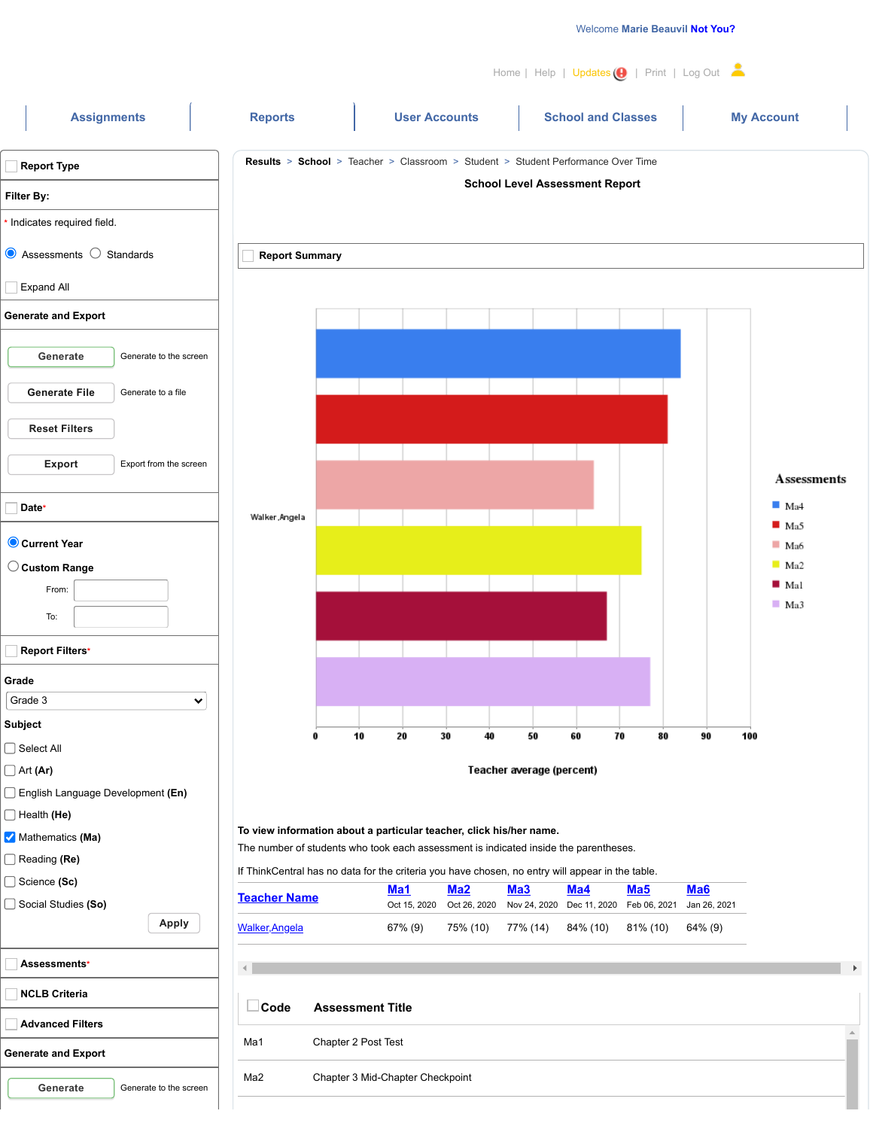